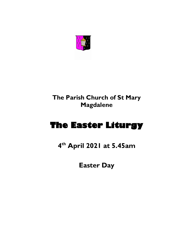

# **The Parish Church of St Mary Magdalene**

# **The Easter Liturgy**

**4 th April 2021 at 5.45am**

**Easter Day**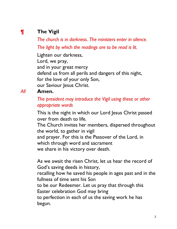## **¶ The Vigil**

*The church is in darkness. The ministers enter in silence. The light by which the readings are to be read is lit.*

Lighten our darkness, Lord, we pray, and in your great mercy defend us from all perils and dangers of this night, for the love of your only Son, our Saviour Jesus Christ.

#### *All* **Amen.**

#### *The president may introduce the Vigil using these or other appropriate words*

This is the night in which our Lord Jesus Christ passed over from death to life.

The Church invites her members, dispersed throughout the world, to gather in vigil

and prayer. For this is the Passover of the Lord, in which through word and sacrament

we share in his victory over death.

As we await the risen Christ, let us hear the record of God's saving deeds in history,

recalling how he saved his people in ages past and in the fullness of time sent his Son

to be our Redeemer. Let us pray that through this Easter celebration God may bring

to perfection in each of us the saving work he has begun.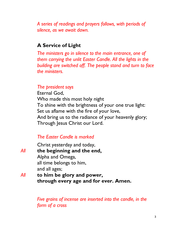*A series of readings and prayers follows, with periods of silence, as we await dawn.*

#### **A Service of Light**

*The ministers go in silence to the main entrance, one of them carrying the unlit Easter Candle. All the lights in the building are switched off. The people stand and turn to face the ministers.*

#### *The president says*

Eternal God, Who made this most holy night To shine with the brightness of your one true light: Set us aflame with the fire of your love, And bring us to the radiance of your heavenly glory; Through Jesus Christ our Lord.

#### *The Easter Candle is marked*

Christ yesterday and today, *All* **the beginning and the end,** Alpha and Omega, all time belongs to him, and all ages; *All* **to him be glory and power, through every age and for ever. Amen.**

> *Five grains of incense are inserted into the candle, in the form of a cross*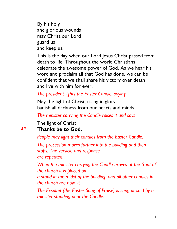By his holy and glorious wounds may Christ our Lord guard us and keep us.

This is the day when our Lord Jesus Christ passed from death to life. Throughout the world Christians celebrate the awesome power of God. As we hear his word and proclaim all that God has done, we can be confident that we shall share his victory over death and live with him for ever.

#### *The president lights the Easter Candle, saying*

May the light of Christ, rising in glory, banish all darkness from our hearts and minds.

*The minister carrying the Candle raises it and says* 

The light of Christ

#### *All* **Thanks be to God.**

*People may light their candles from the Easter Candle.* 

*The procession moves further into the building and then stops. The versicle and response are repeated.*

*When the minister carrying the Candle arrives at the front of the church it is placed on*

*a stand in the midst of the building, and all other candles in the church are now lit.*

*The Exsultet (the Easter Song of Praise) is sung or said by a minister standing near the Candle.*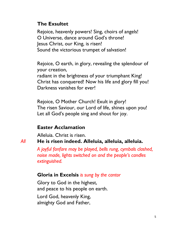#### **The Exsultet**

Rejoice, heavenly powers! Sing, choirs of angels! O Universe, dance around God's throne! Jesus Christ, our King, is risen! Sound the victorious trumpet of salvation!

Rejoice, O earth, in glory, revealing the splendour of your creation,

radiant in the brightness of your triumphant King! Christ has conquered! Now his life and glory fill you! Darkness vanishes for ever!

Rejoice, O Mother Church! Exult in glory! The risen Saviour, our Lord of life, shines upon you! Let all God's people sing and shout for joy.

#### **Easter Acclamation**

Alleluia. Christ is risen.

*All* **He is risen indeed. Alleluia, alleluia, alleluia.**

*A joyful fanfare may be played, bells rung, cymbals clashed, noise made, lights switched on and the people's candles extinguished.*

#### **Gloria in Excelsis** *is sung by the cantor*

Glory to God in the highest, and peace to his people on earth.

Lord God, heavenly King, almighty God and Father,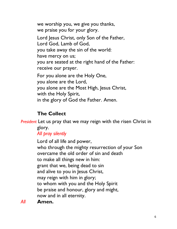we worship you, we give you thanks, we praise you for your glory. Lord Jesus Christ, only Son of the Father, Lord God, Lamb of God, you take away the sin of the world: have mercy on us; you are seated at the right hand of the Father: receive our prayer. For you alone are the Holy One, you alone are the Lord, you alone are the Most High, Jesus Christ, with the Holy Spirit, in the glory of God the Father. Amen.

## **The Collect**

*President* Let us pray that we may reign with the risen Christ in glory.

#### *All pray silently*

Lord of all life and power, who through the mighty resurrection of your Son overcame the old order of sin and death to make all things new in him: grant that we, being dead to sin and alive to you in Jesus Christ, may reign with him in glory; to whom with you and the Holy Spirit be praise and honour, glory and might, now and in all eternity.

*All* **Amen.**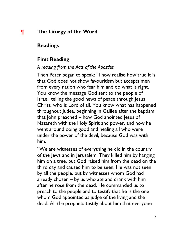#### **¶ The Liturgy of the Word**

#### **Readings**

#### **First Reading**

#### *A reading from the Acts of the Apostles*

Then Peter began to speak: "I now realise how true it is that God does not show favouritism but accepts men from every nation who fear him and do what is right. You know the message God sent to the people of Israel, telling the good news of peace through Jesus Christ, who is Lord of all. You know what has happened throughout Judea, beginning in Galilee after the baptism that John preached – how God anointed Jesus of Nazareth with the Holy Spirit and power, and how he went around doing good and healing all who were under the power of the devil, because God was with him.

"We are witnesses of everything he did in the country of the Jews and in Jerusalem. They killed him by hanging him on a tree, but God raised him from the dead on the third day and caused him to be seen. He was not seen by all the people, but by witnesses whom God had already chosen – by us who ate and drank with him after he rose from the dead. He commanded us to preach to the people and to testify that he is the one whom God appointed as judge of the living and the dead. All the prophets testify about him that everyone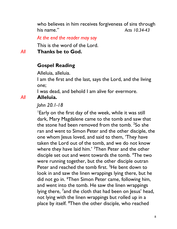who believes in him receives forgiveness of sins through his name." *Acts 10.34-43*

*At the end the reader may say* 

This is the word of the Lord.

*All* **Thanks be to God.**

#### **Gospel Reading**

Alleluia, alleluia.

I am the first and the last, says the Lord, and the living one;

I was dead, and behold I am alive for evermore.

#### *All* **Alleluia.**

*John 20.1-18*

<sup>1</sup>Early on the first day of the week, while it was still dark, Mary Magdalene came to the tomb and saw that the stone had been removed from the tomb.  $2$ So she ran and went to Simon Peter and the other disciple, the one whom Jesus loved, and said to them, 'They have taken the Lord out of the tomb, and we do not know where they have laid him.' <sup>3</sup>Then Peter and the other disciple set out and went towards the tomb. <sup>4</sup>The two were running together, but the other disciple outran Peter and reached the tomb first. <sup>5</sup>He bent down to look in and saw the linen wrappings lying there, but he did not go in. <sup>6</sup>Then Simon Peter came, following him, and went into the tomb. He saw the linen wrappings lying there, <sup>7</sup>and the cloth that had been on Jesus' head, not lying with the linen wrappings but rolled up in a place by itself. 8Then the other disciple, who reached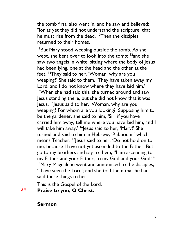the tomb first, also went in, and he saw and believed; <sup>9</sup> for as yet they did not understand the scripture, that he must rise from the dead. <sup>10</sup>Then the disciples returned to their homes.

 $11$ But Mary stood weeping outside the tomb. As she wept, she bent over to look into the tomb;  $12$  and she saw two angels in white, sitting where the body of Jesus had been lying, one at the head and the other at the feet. <sup>13</sup>They said to her, 'Woman, why are you weeping?' She said to them, 'They have taken away my Lord, and I do not know where they have laid him.' <sup>14</sup>When she had said this, she turned around and saw Jesus standing there, but she did not know that it was Jesus. <sup>15</sup>Jesus said to her, 'Woman, why are you weeping? For whom are you looking?' Supposing him to be the gardener, she said to him, 'Sir, if you have carried him away, tell me where you have laid him, and I will take him away.' <sup>16</sup>Jesus said to her, 'Mary!' She turned and said to him in Hebrew, 'Rabbouni!' which means Teacher. <sup>17</sup> Jesus said to her, 'Do not hold on to me, because I have not yet ascended to the Father. But go to my brothers and say to them, "I am ascending to my Father and your Father, to my God and your God."' <sup>18</sup>Mary Magdalene went and announced to the disciples, 'I have seen the Lord'; and she told them that he had said these things to her.

This is the Gospel of the Lord.

## *All* **Praise to you, O Christ.**

#### **Sermon**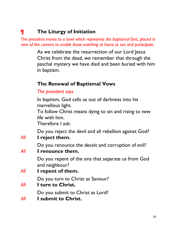# **¶ The Liturgy of Initiation**

*The president moves to a bowl which represents the baptismal font, placed in view of the camera to enable those watching at home to see and participate.* 

> As we celebrate the resurrection of our Lord Jesus Christ from the dead, we remember that through the paschal mystery we have died and been buried with him in baptism.

#### **The Renewal of Baptismal Vows**

#### *The president says*

In baptism, God calls us out of darkness into his marvellous light.

To follow Christ means dying to sin and rising to new life with him.

Therefore I ask:

Do you reject the devil and all rebellion against God? *All* **I reject them.**

Do you renounce the deceit and corruption of evil?

*All* **I renounce them.**

Do you repent of the sins that separate us from God and neighbour?

*All* **I repent of them.**

Do you turn to Christ as Saviour?

*All* **I turn to Christ.**

Do you submit to Christ as Lord?

*All* **I submit to Christ.**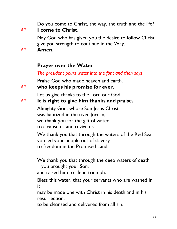Do you come to Christ, the way, the truth and the life? *All* **I come to Christ.**

> May God who has given you the desire to follow Christ give you strength to continue in the Way.

*All* **Amen.**

#### **Prayer over the Water**

*The president pours water into the font and then says*

Praise God who made heaven and earth,

*All* **who keeps his promise for ever.**

Let us give thanks to the Lord our God.

#### *All* **It is right to give him thanks and praise.**

Almighty God, whose Son Jesus Christ was baptized in the river Jordan, we thank you for the gift of water to cleanse us and revive us.

We thank you that through the waters of the Red Sea you led your people out of slavery to freedom in the Promised Land.

We thank you that through the deep waters of death you brought your Son,

and raised him to life in triumph.

Bless this water, that your servants who are washed in it

may be made one with Christ in his death and in his resurrection,

to be cleansed and delivered from all sin.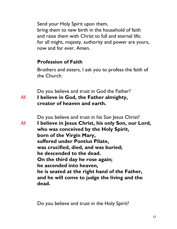Send your Holy Spirit upon them, bring them to new birth in the household of faith and raise them with Christ to full and eternal life; for all might, majesty, authority and power are yours, now and for ever. Amen.

#### **Profession of Faith**

Brothers and sisters, I ask you to profess the faith of the Church.

Do you believe and trust in God the Father? *All* **I believe in God, the Father almighty, creator of heaven and earth.**

Do you believe and trust in his Son Jesus Christ?

*All* **I believe in Jesus Christ, his only Son, our Lord, who was conceived by the Holy Spirit, born of the Virgin Mary, suffered under Pontius Pilate, was crucified, died, and was buried; he descended to the dead. On the third day he rose again; he ascended into heaven, he is seated at the right hand of the Father, and he will come to judge the living and the dead.**

Do you believe and trust in the Holy Spirit?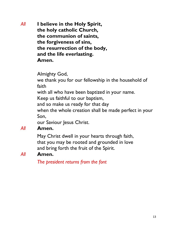*All* **I believe in the Holy Spirit, the holy catholic Church, the communion of saints, the forgiveness of sins, the resurrection of the body, and the life everlasting. Amen.**

Almighty God,

we thank you for our fellowship in the household of faith

with all who have been baptized in your name.

Keep us faithful to our baptism,

and so make us ready for that day

when the whole creation shall be made perfect in your Son,

our Saviour Jesus Christ.

#### *All* **Amen.**

May Christ dwell in your hearts through faith, that you may be rooted and grounded in love and bring forth the fruit of the Spirit.

#### *All* **Amen.**

*The president returns from the font*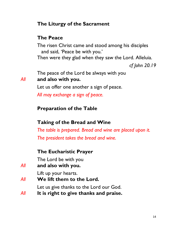#### **The Liturgy of the Sacrament**

#### **The Peace**

The risen Christ came and stood among his disciples and said, 'Peace be with you.' Then were they glad when they saw the Lord. Alleluia.

*cf John 20.19*

The peace of the Lord be always with you *All* **and also with you.**

Let us offer one another a sign of peace.

*All may exchange a sign of peace.*

#### **Preparation of the Table**

#### **Taking of the Bread and Wine**

*The table is prepared. Bread and wine are placed upon it. The president takes the bread and wine.*

#### **The Eucharistic Prayer**

The Lord be with you

*All* **and also with you.**

Lift up your hearts.

*All* **We lift them to the Lord.**

Let us give thanks to the Lord our God.

*All* **It is right to give thanks and praise.**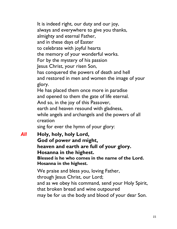It is indeed right, our duty and our joy, always and everywhere to give you thanks, almighty and eternal Father, and in these days of Easter to celebrate with joyful hearts the memory of your wonderful works. For by the mystery of his passion Jesus Christ, your risen Son, has conquered the powers of death and hell and restored in men and women the image of your glory. He has placed them once more in paradise and opened to them the gate of life eternal. And so, in the joy of this Passover, earth and heaven resound with gladness, while angels and archangels and the powers of all creation sing for ever the hymn of your glory:

*All* **Holy, holy, holy Lord, God of power and might, heaven and earth are full of your glory. Hosanna in the highest. Blessed is he who comes in the name of the Lord. Hosanna in the highest.**

> We praise and bless you, loving Father, through Jesus Christ, our Lord; and as we obey his command, send your Holy Spirit, that broken bread and wine outpoured may be for us the body and blood of your dear Son.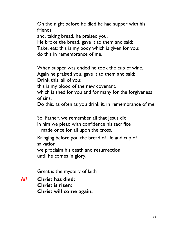On the night before he died he had supper with his friends

and, taking bread, he praised you.

He broke the bread, gave it to them and said:

Take, eat; this is my body which is given for you; do this in remembrance of me.

When supper was ended he took the cup of wine. Again he praised you, gave it to them and said: Drink this, all of you; this is my blood of the new covenant, which is shed for you and for many for the forgiveness

of sins.

Do this, as often as you drink it, in remembrance of me.

So, Father, we remember all that Jesus did,

in him we plead with confidence his sacrifice

made once for all upon the cross.

Bringing before you the bread of life and cup of salvation,

we proclaim his death and resurrection until he comes in glory.

Great is the mystery of faith

*All* **Christ has died: Christ is risen: Christ will come again.**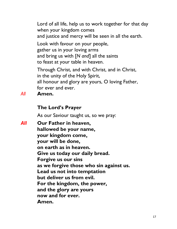Lord of all life, help us to work together for that day when your kingdom comes and justice and mercy will be seen in all the earth.

Look with favour on your people, gather us in your loving arms and bring us with [*N and*] all the saints to feast at your table in heaven.

Through Christ, and with Christ, and in Christ, in the unity of the Holy Spirit, all honour and glory are yours, O loving Father, for ever and ever.

*All* **Amen.**

## **The Lord's Prayer**

As our Saviour taught us, so we pray:

*All* **Our Father in heaven, hallowed be your name, your kingdom come, your will be done, on earth as in heaven. Give us today our daily bread. Forgive us our sins as we forgive those who sin against us. Lead us not into temptation but deliver us from evil. For the kingdom, the power, and the glory are yours now and for ever. Amen.**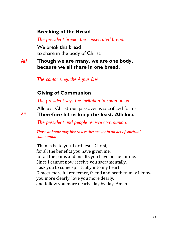#### **Breaking of the Bread**

*The president breaks the consecrated bread.* 

We break this bread to share in the body of Christ.

*All* **Though we are many, we are one body, because we all share in one bread.**

*The cantor sings the Agnus Dei*

#### **Giving of Communion**

*The president says the invitation to communion* 

Alleluia. Christ our passover is sacrificed for us. *All* **Therefore let us keep the feast. Alleluia.**

*The president and people receive communion.* 

*Those at home may like to use this prayer in an act of spiritual communion* 

Thanks be to you, Lord Jesus Christ, for all the benefits you have given me, for all the pains and insults you have borne for me. Since I cannot now receive you sacramentally, I ask you to come spiritually into my heart. O most merciful redeemer, friend and brother, may I know you more clearly, love you more dearly, and follow you more nearly, day by day. Amen.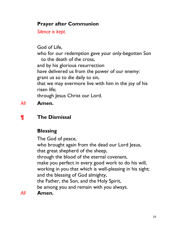#### **Prayer after Communion**

*Silence is kept.*

God of Life, who for our redemption gave your only-begotten Son to the death of the cross, and by his glorious resurrection have delivered us from the power of our enemy: grant us so to die daily to sin, that we may evermore live with him in the joy of his risen life; through Jesus Christ our Lord.

*All* **Amen.**

## **¶ The Dismissal**

## **Blessing**

The God of peace, who brought again from the dead our Lord Jesus, that great shepherd of the sheep, through the blood of the eternal covenant, make you perfect in every good work to do his will, working in you that which is well-pleasing in his sight; and the blessing of God almighty, the Father, the Son, and the Holy Spirit, be among you and remain with you always. *All* **Amen.**